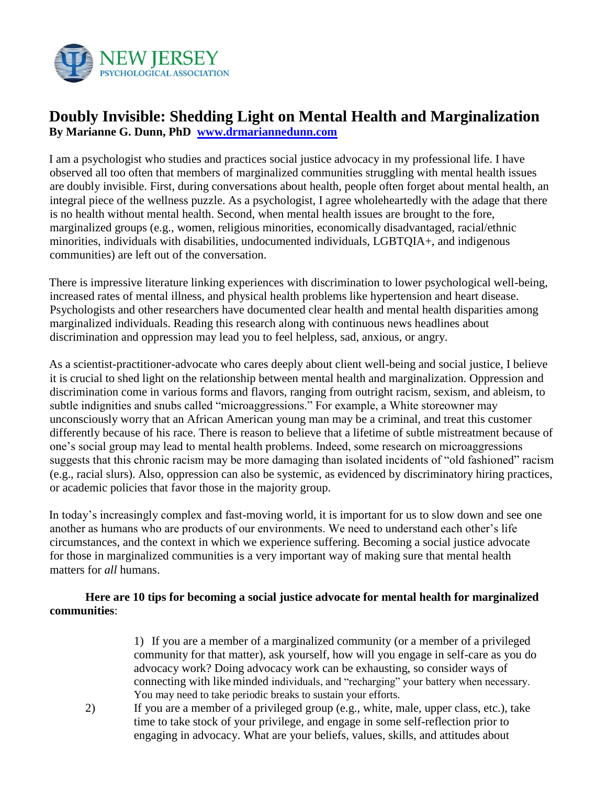

## **Doubly Invisible: Shedding Light on Mental Health and Marginalization By Marianne G. Dunn, PhD [www.drmariannedunn.com](http://www.drmariannedunn.com/)**

I am a psychologist who studies and practices social justice advocacy in my professional life. I have observed all too often that members of marginalized communities struggling with mental health issues are doubly invisible. First, during conversations about health, people often forget about mental health, an integral piece of the wellness puzzle. As a psychologist, I agree wholeheartedly with the adage that there is no health without mental health. Second, when mental health issues are brought to the fore, marginalized groups (e.g., women, religious minorities, economically disadvantaged, racial/ethnic minorities, individuals with disabilities, undocumented individuals, LGBTQIA+, and indigenous communities) are left out of the conversation.

There is impressive literature linking experiences with discrimination to lower psychological well-being, increased rates of mental illness, and physical health problems like hypertension and heart disease. Psychologists and other researchers have documented clear health and mental health disparities among marginalized individuals. Reading this research along with continuous news headlines about discrimination and oppression may lead you to feel helpless, sad, anxious, or angry.

As a scientist-practitioner-advocate who cares deeply about client well-being and social justice, I believe it is crucial to shed light on the relationship between mental health and marginalization. Oppression and discrimination come in various forms and flavors, ranging from outright racism, sexism, and ableism, to subtle indignities and snubs called "microaggressions." For example, a White storeowner may unconsciously worry that an African American young man may be a criminal, and treat this customer differently because of his race. There is reason to believe that a lifetime of subtle mistreatment because of one's social group may lead to mental health problems. Indeed, some research on microaggressions suggests that this chronic racism may be more damaging than isolated incidents of "old fashioned" racism (e.g., racial slurs). Also, oppression can also be systemic, as evidenced by discriminatory hiring practices, or academic policies that favor those in the majority group.

In today's increasingly complex and fast-moving world, it is important for us to slow down and see one another as humans who are products of our environments. We need to understand each other's life circumstances, and the context in which we experience suffering. Becoming a social justice advocate for those in marginalized communities is a very important way of making sure that mental health matters for *all* humans.

## **Here are 10 tips for becoming a social justice advocate for mental health for marginalized communities**:

1) If you are a member of a marginalized community (or a member of a privileged community for that matter), ask yourself, how will you engage in self-care as you do advocacy work? Doing advocacy work can be exhausting, so consider ways of connecting with like minded individuals, and "recharging" your battery when necessary. You may need to take periodic breaks to sustain your efforts.

2) If you are a member of a privileged group (e.g., white, male, upper class, etc.), take time to take stock of your privilege, and engage in some self-reflection prior to engaging in advocacy. What are your beliefs, values, skills, and attitudes about